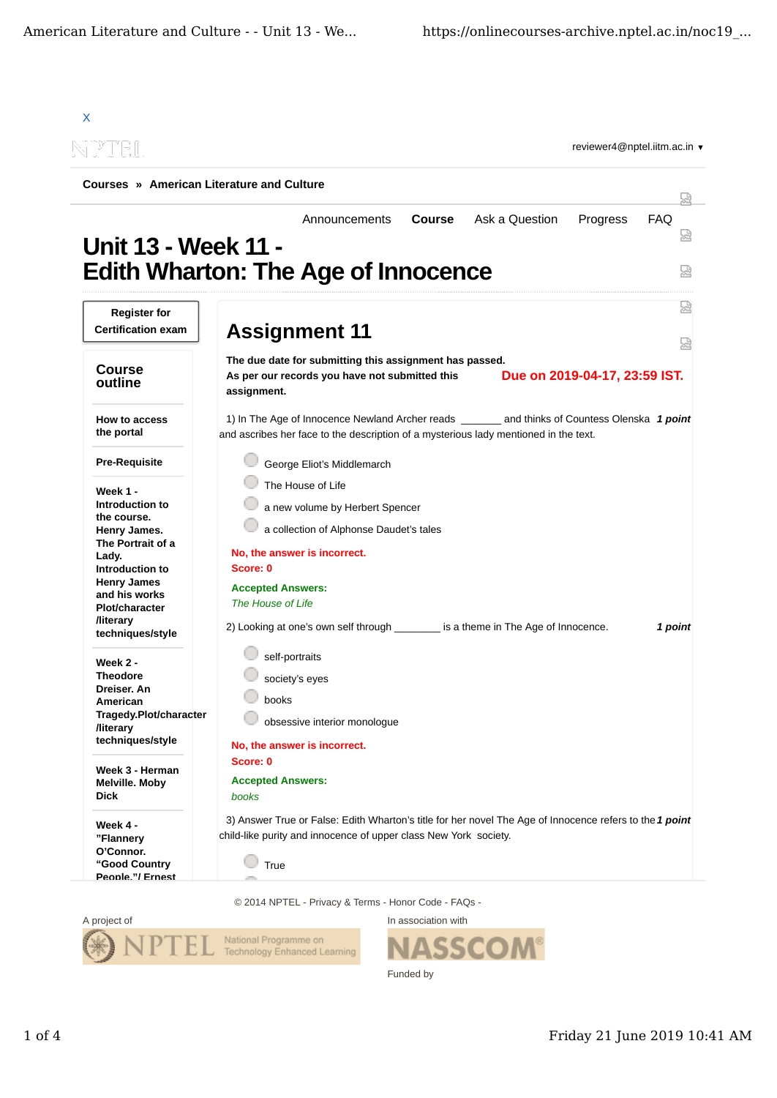| reviewer4@nptel.iitm.ac.in ▼<br>N P DEL |                                                                                                         |  |  |  |
|-----------------------------------------|---------------------------------------------------------------------------------------------------------|--|--|--|
|                                         | Courses » American Literature and Culture                                                               |  |  |  |
|                                         | Progress<br><b>Course</b><br>Ask a Question<br><b>FAQ</b><br>Announcements                              |  |  |  |
| <b>Unit 13 - Week 11 -</b>              |                                                                                                         |  |  |  |
|                                         |                                                                                                         |  |  |  |
|                                         | <b>Edith Wharton: The Age of Innocence</b>                                                              |  |  |  |
| <b>Register for</b>                     |                                                                                                         |  |  |  |
| <b>Certification exam</b>               |                                                                                                         |  |  |  |
|                                         | <b>Assignment 11</b>                                                                                    |  |  |  |
|                                         | The due date for submitting this assignment has passed.                                                 |  |  |  |
| <b>Course</b><br>outline                | Due on 2019-04-17, 23:59 IST.<br>As per our records you have not submitted this                         |  |  |  |
|                                         | assignment.                                                                                             |  |  |  |
|                                         |                                                                                                         |  |  |  |
| How to access<br>the portal             | 1) In The Age of Innocence Newland Archer reads ________ and thinks of Countess Olenska 1 point         |  |  |  |
|                                         | and ascribes her face to the description of a mysterious lady mentioned in the text.                    |  |  |  |
| <b>Pre-Requisite</b>                    | George Eliot's Middlemarch                                                                              |  |  |  |
|                                         | The House of Life                                                                                       |  |  |  |
| Week 1 -<br>Introduction to             | a new volume by Herbert Spencer                                                                         |  |  |  |
| the course.                             |                                                                                                         |  |  |  |
| Henry James.                            | a collection of Alphonse Daudet's tales                                                                 |  |  |  |
| The Portrait of a<br>Lady.              | No, the answer is incorrect.                                                                            |  |  |  |
| Introduction to                         | Score: 0                                                                                                |  |  |  |
| <b>Henry James</b>                      | <b>Accepted Answers:</b>                                                                                |  |  |  |
| and his works<br><b>Plot/character</b>  | The House of Life                                                                                       |  |  |  |
| <b>/literary</b>                        |                                                                                                         |  |  |  |
| techniques/style                        | 2) Looking at one's own self through is a theme in The Age of Innocence.<br>1 point                     |  |  |  |
|                                         | self-portraits                                                                                          |  |  |  |
| Week 2 -<br><b>Theodore</b>             |                                                                                                         |  |  |  |
| Dreiser. An                             | society's eyes                                                                                          |  |  |  |
| American                                | books                                                                                                   |  |  |  |
| Tragedy.Plot/character                  | obsessive interior monologue                                                                            |  |  |  |
| <b>/literary</b>                        |                                                                                                         |  |  |  |
| techniques/style                        | No, the answer is incorrect.                                                                            |  |  |  |
| Week 3 - Herman                         | Score: 0                                                                                                |  |  |  |
| Melville. Moby                          | <b>Accepted Answers:</b>                                                                                |  |  |  |
| <b>Dick</b>                             | books                                                                                                   |  |  |  |
|                                         | 3) Answer True or False: Edith Wharton's title for her novel The Age of Innocence refers to the 1 point |  |  |  |
| Week 4 -                                | child-like purity and innocence of upper class New York society.                                        |  |  |  |
| "Flannery<br>O'Connor.                  |                                                                                                         |  |  |  |
| "Good Country                           | True                                                                                                    |  |  |  |
| Peonle."/ Ernest                        |                                                                                                         |  |  |  |

© 2014 NPTEL - Privacy & Terms - Honor Code - FAQs -



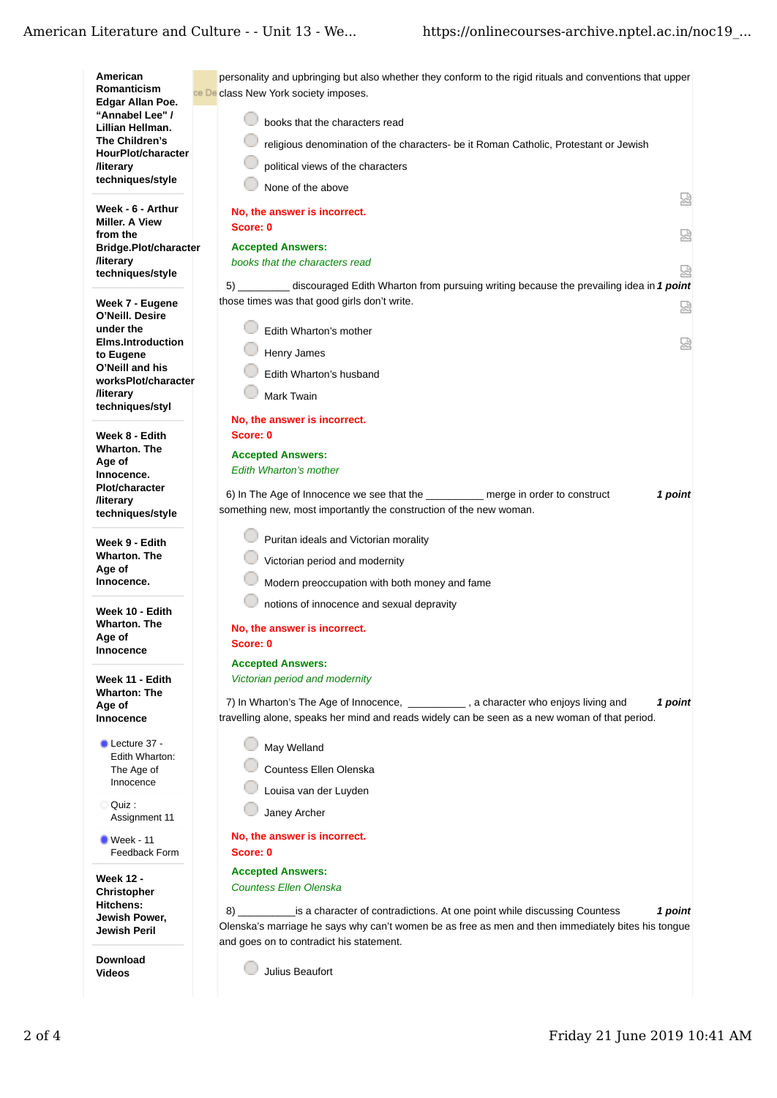| American                                          | personality and upbringing but also whether they conform to the rigid rituals and conventions that upper                                                |
|---------------------------------------------------|---------------------------------------------------------------------------------------------------------------------------------------------------------|
| Romanticism<br>Edgar Allan Poe.                   | ce De class New York society imposes.                                                                                                                   |
| "Annabel Lee" /                                   |                                                                                                                                                         |
| Lillian Hellman.                                  | books that the characters read                                                                                                                          |
| The Children's<br>HourPlot/character              | religious denomination of the characters- be it Roman Catholic, Protestant or Jewish                                                                    |
| <b>/literary</b>                                  | political views of the characters                                                                                                                       |
| techniques/style                                  | None of the above                                                                                                                                       |
|                                                   | 恳                                                                                                                                                       |
| Week - 6 - Arthur<br><b>Miller. A View</b>        | No, the answer is incorrect.                                                                                                                            |
| from the                                          | Score: 0<br>요                                                                                                                                           |
| Bridge.Plot/character                             | <b>Accepted Answers:</b>                                                                                                                                |
| <b>/literary</b><br>techniques/style              | books that the characters read<br>₽                                                                                                                     |
|                                                   | 5) discouraged Edith Wharton from pursuing writing because the prevailing idea in 1 point                                                               |
| Week 7 - Eugene                                   | those times was that good girls don't write.<br>요                                                                                                       |
| O'Neill. Desire                                   |                                                                                                                                                         |
| under the                                         | Edith Wharton's mother                                                                                                                                  |
| <b>Elms.Introduction</b><br>to Eugene             | 덣<br>Henry James                                                                                                                                        |
| O'Neill and his                                   | Edith Wharton's husband                                                                                                                                 |
| worksPlot/character                               |                                                                                                                                                         |
| <b><i><u>Iliterary</u></i></b><br>techniques/styl | Mark Twain                                                                                                                                              |
|                                                   | No, the answer is incorrect.                                                                                                                            |
| Week 8 - Edith                                    | Score: 0                                                                                                                                                |
| <b>Wharton. The</b>                               | <b>Accepted Answers:</b>                                                                                                                                |
| Age of<br>Innocence.                              | <b>Edith Wharton's mother</b>                                                                                                                           |
| <b>Plot/character</b>                             |                                                                                                                                                         |
| <b>/literary</b>                                  | 6) In The Age of Innocence we see that the merge in order to construct<br>1 point<br>something new, most importantly the construction of the new woman. |
| techniques/style                                  |                                                                                                                                                         |
| Week 9 - Edith                                    | Puritan ideals and Victorian morality                                                                                                                   |
| <b>Wharton. The</b>                               | Victorian period and modernity                                                                                                                          |
| Age of                                            |                                                                                                                                                         |
| Innocence.                                        | Modern preoccupation with both money and fame                                                                                                           |
| Week 10 - Edith                                   | notions of innocence and sexual depravity                                                                                                               |
| <b>Wharton. The</b>                               | No, the answer is incorrect.                                                                                                                            |
| Age of<br>Innocence                               | Score: 0                                                                                                                                                |
|                                                   | <b>Accepted Answers:</b>                                                                                                                                |
| Week 11 - Edith                                   | Victorian period and modernity                                                                                                                          |
| <b>Wharton: The</b>                               | 7) In Wharton's The Age of Innocence, _____________, a character who enjoys living and<br>1 point                                                       |
| Age of<br>Innocence                               | travelling alone, speaks her mind and reads widely can be seen as a new woman of that period.                                                           |
|                                                   |                                                                                                                                                         |
| Lecture 37 -<br>Edith Wharton:                    | May Welland                                                                                                                                             |
| The Age of                                        | Countess Ellen Olenska                                                                                                                                  |
| Innocence                                         | Louisa van der Luyden                                                                                                                                   |
| Ouiz:                                             |                                                                                                                                                         |
| Assignment 11                                     | Janey Archer                                                                                                                                            |
| $\blacksquare$ Week - 11                          | No, the answer is incorrect.                                                                                                                            |
| Feedback Form                                     | Score: 0                                                                                                                                                |
|                                                   | <b>Accepted Answers:</b>                                                                                                                                |
| <b>Week 12 -</b><br><b>Christopher</b>            | <b>Countess Ellen Olenska</b>                                                                                                                           |
| Hitchens:                                         | is a character of contradictions. At one point while discussing Countess<br>1 point<br>8) и последници с последници с при                               |
| Jewish Power,                                     | Olenska's marriage he says why can't women be as free as men and then immediately bites his tongue                                                      |
| Jewish Peril                                      | and goes on to contradict his statement.                                                                                                                |
| <b>Download</b>                                   |                                                                                                                                                         |
| Videos                                            | Julius Beaufort                                                                                                                                         |
|                                                   |                                                                                                                                                         |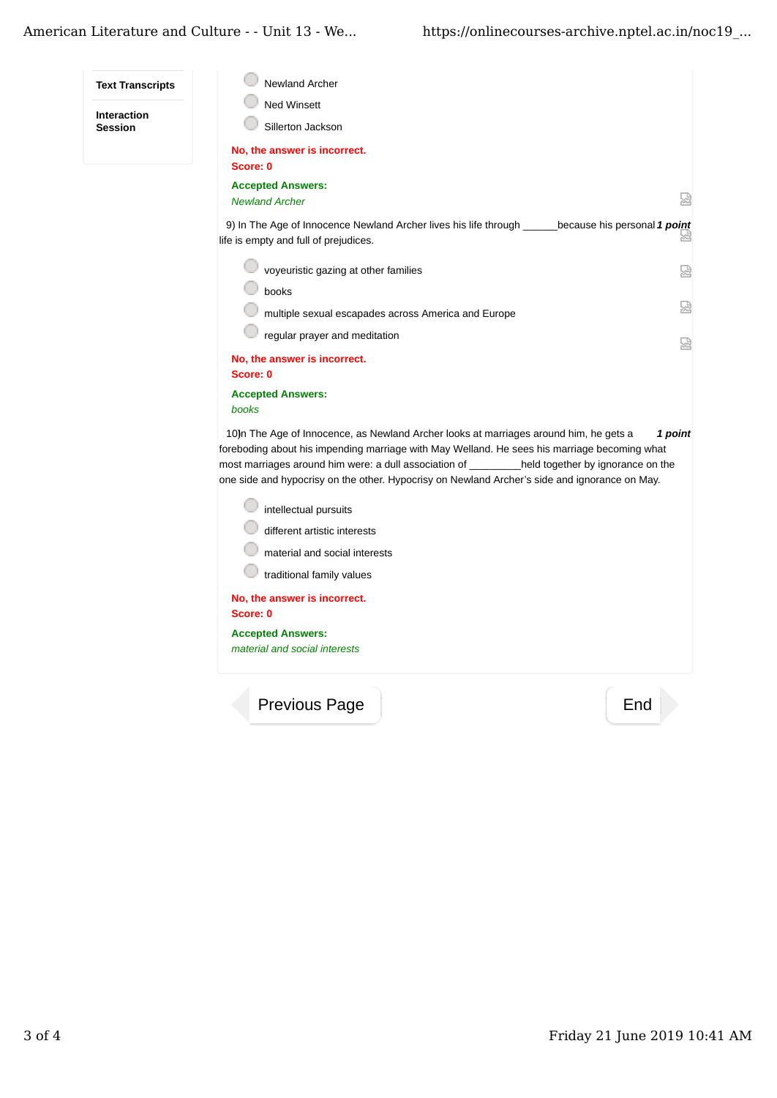## American Literature and Culture - - Unit 13 - We... https://onlinecourses-archive.nptel.ac.in/noc19 ...

**Session**